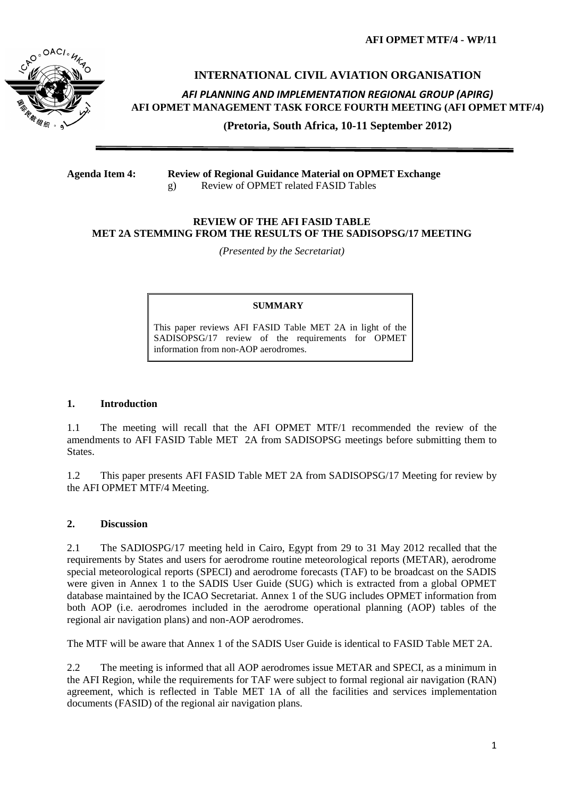**AFI OPMET MTF/4 - WP/11**



**INTERNATIONAL CIVIL AVIATION ORGANISATION**  *AFI PLANNING AND IMPLEMENTATION REGIONAL GROUP (APIRG)* **AFI OPMET MANAGEMENT TASK FORCE FOURTH MEETING (AFI OPMET MTF/4)** 

**(Pretoria, South Africa, 10-11 September 2012)**

**Agenda Item 4: Review of Regional Guidance Material on OPMET Exchange** g) Review of OPMET related FASID Tables

# **REVIEW OF THE AFI FASID TABLE MET 2A STEMMING FROM THE RESULTS OF THE SADISOPSG/17 MEETING**

*(Presented by the Secretariat)*

## **SUMMARY**

This paper reviews AFI FASID Table MET 2A in light of the SADISOPSG/17 review of the requirements for OPMET information from non-AOP aerodromes.

### **1. Introduction**

1.1 The meeting will recall that the AFI OPMET MTF/1 recommended the review of the amendments to AFI FASID Table MET 2A from SADISOPSG meetings before submitting them to States.

1.2 This paper presents AFI FASID Table MET 2A from SADISOPSG/17 Meeting for review by the AFI OPMET MTF/4 Meeting.

# **2. Discussion**

2.1 The SADIOSPG/17 meeting held in Cairo, Egypt from 29 to 31 May 2012 recalled that the requirements by States and users for aerodrome routine meteorological reports (METAR), aerodrome special meteorological reports (SPECI) and aerodrome forecasts (TAF) to be broadcast on the SADIS were given in Annex 1 to the SADIS User Guide (SUG) which is extracted from a global OPMET database maintained by the ICAO Secretariat. Annex 1 of the SUG includes OPMET information from both AOP (i.e. aerodromes included in the aerodrome operational planning (AOP) tables of the regional air navigation plans) and non-AOP aerodromes.

The MTF will be aware that Annex 1 of the SADIS User Guide is identical to FASID Table MET 2A.

2.2 The meeting is informed that all AOP aerodromes issue METAR and SPECI, as a minimum in the AFI Region, while the requirements for TAF were subject to formal regional air navigation (RAN) agreement, which is reflected in Table MET 1A of all the facilities and services implementation documents (FASID) of the regional air navigation plans.